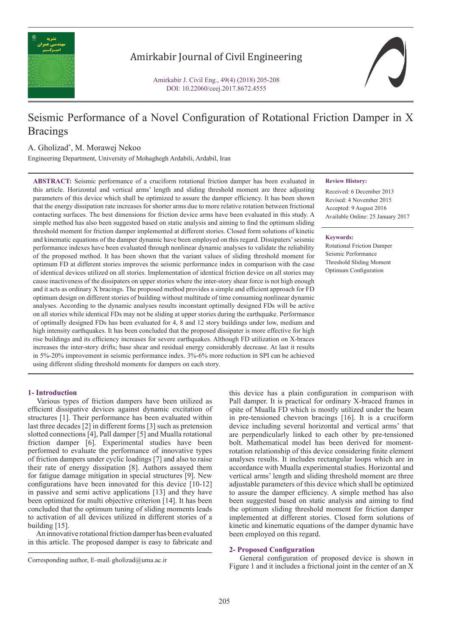

## Amirkabir Journal of Civil Engineering

Amirkabir J. Civil Eng., 49(4) (2018) 205-208 DOI: 10.22060/ceej.2017.8672.4555

# Seismic Performance of a Novel Configuration of Rotational Friction Damper in X **Bracings**

### A. Gholizad\* , M. Morawej Nekoo

Engineering Department, University of Mohaghegh Ardabili, Ardabil, Iran

**ABSTRACT:** Seismic performance of a cruciform rotational friction damper has been evaluated in this article. Horizontal and vertical arms' length and sliding threshold moment are three adjusting parameters of this device which shall be optimized to assure the damper efficiency. It has been shown that the energy dissipation rate increases for shorter arms due to more relative rotation between frictional contacting surfaces. The best dimensions for friction device arms have been evaluated in this study. A simple method has also been suggested based on static analysis and aiming to find the optimum sliding threshold moment for friction damper implemented at different stories. Closed form solutions of kinetic and kinematic equations of the damper dynamic have been employed on this regard. Dissipaters' seismic performance indexes have been evaluated through nonlinear dynamic analyses to validate the reliability of the proposed method. It has been shown that the variant values of sliding threshold moment for optimum FD at different stories improves the seismic performance index in comparison with the case of identical devices utilized on all stories. Implementation of identical friction device on all stories may cause inactiveness of the dissipaters on upper stories where the inter-story shear force is not high enough and it acts as ordinary X bracings. The proposed method provides a simple and efficient approach for FD optimum design on different stories of building without multitude of time consuming nonlinear dynamic analyses. According to the dynamic analyses results inconstant optimally designed FDs will be active on all stories while identical FDs may not be sliding at upper stories during the earthquake. Performance of optimally designed FDs has been evaluated for 4, 8 and 12 story buildings under low, medium and high intensity earthquakes. It has been concluded that the proposed dissipater is more effective for high rise buildings and its efficiency increases for severe earthquakes. Although FD utilization on X-braces increases the inter-story drifts; base shear and residual energy considerably decrease. At last it results in 5%-20% improvement in seismic performance index. 3%-6% more reduction in SPI can be achieved using different sliding threshold moments for dampers on each story.

#### **1- Introduction**

 Various types of friction dampers have been utilized as efficient dissipative devices against dynamic excitation of structures [1]. Their performance has been evaluated within last three decades [2] in different forms [3] such as pretension slotted connections [4], Pall damper [5] and Mualla rotational friction damper [6]. Experimental studies have been performed to evaluate the performance of innovative types of friction dampers under cyclic loadings [7] and also to raise their rate of energy dissipation [8]. Authors assayed them for fatigue damage mitigation in special structures [9]. New configurations have been innovated for this device [10-12] in passive and semi active applications [13] and they have been optimized for multi objective criterion [14]. It has been concluded that the optimum tuning of sliding moments leads to activation of all devices utilized in different stories of a building [15].

 An innovative rotational friction damper has been evaluated in this article. The proposed damper is easy to fabricate and

#### **Review History:**

Received: 6 December 2013 Revised: 4 November 2015 Accepted: 9 August 2016 Available Online: 25 January 2017

#### **Keywords:**

Rotational Friction Damper Seismic Performance Threshold Sliding Moment Optimum Configuration

this device has a plain configuration in comparison with Pall damper. It is practical for ordinary X-braced frames in spite of Mualla FD which is mostly utilized under the beam in pre-tensioned chevron bracings [16]. It is a cruciform device including several horizontal and vertical arms' that are perpendicularly linked to each other by pre-tensioned bolt. Mathematical model has been derived for momentrotation relationship of this device considering finite element analyses results. It includes rectangular loops which are in accordance with Mualla experimental studies. Horizontal and vertical arms' length and sliding threshold moment are three adjustable parameters of this device which shall be optimized to assure the damper efficiency. A simple method has also been suggested based on static analysis and aiming to find the optimum sliding threshold moment for friction damper implemented at different stories. Closed form solutions of kinetic and kinematic equations of the damper dynamic have been employed on this regard.

#### **2- Proposed Configuration**

 General configuration of proposed device is shown in Corresponding author, E-mail: gholizad@uma.ac.ir<br>Figure 1 and it includes a frictional joint in the center of an X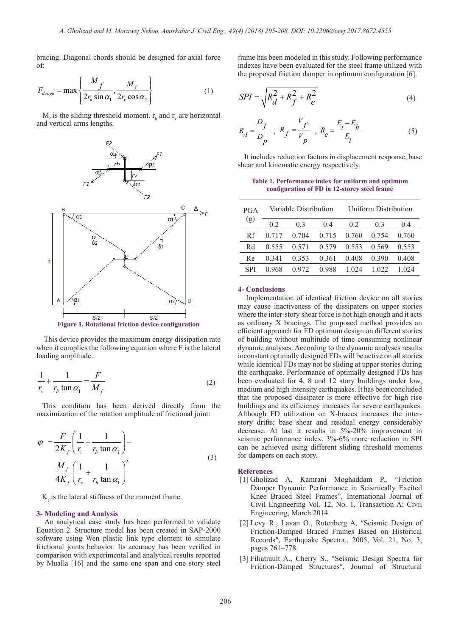bracing. Diagonal chords should be designed for axial force of:

$$
F_{\text{design}} = \max \left\{ \frac{M_f}{2r_h \sin \alpha_1}, \frac{M_f}{2r_v \cos \alpha_2} \right\}
$$
(1)

 $M_f$  is the sliding threshold moment.  $r_h$  and  $r_v$  are horizontal and vertical arms lengths.



 This device provides the maximum energy dissipation rate when it complies the following equation where F is the lateral loading amplitude.

$$
\frac{1}{r_v} + \frac{1}{r_h \tan \alpha_1} = \frac{F}{M_f}
$$
 (2)

 This condition has been derived directly from the maximization of the rotation amplitude of frictional joint:

$$
\varphi = \frac{F}{2K_f} \left( \frac{1}{r_v} + \frac{1}{r_h \tan \alpha_1} \right) -
$$
  

$$
\frac{M_f}{4K_f} \left( \frac{1}{r_v} + \frac{1}{r_h \tan \alpha_1} \right)^2
$$
 (3)

 $K_f$  is the lateral stiffness of the moment frame.

#### **3- Modeling and Analysis**

 An analytical case study has been performed to validate Equation 2. Structure model has been created in SAP-2000 software using Wen plastic link type element to simulate frictional joints behavior. Its accuracy has been verified in comparison with experimental and analytical results reported by Mualla [16] and the same one span and one story steel

frame has been modeled in this study. Following performance indexes have been evaluated for the steel frame utilized with the proposed friction damper in optimum configuration [6].

$$
SPI = \sqrt{R_d^2 + R_f^2 + R_e^2}
$$
 (4)

$$
R_d = \frac{D_f}{D_p} , R_f = \frac{V_f}{V_p} , R_e = \frac{E_i - E_h}{E_i}
$$
 (5)

 It includes reduction factors in displacement response, base shear and kinematic energy respectively.

**Table 1. Performance index for uniform and optimum configuration of FD in 12-storey steel frame**

| <b>PGA</b><br>(g) | Variable Distribution |                |       | Uniform Distribution |       |       |
|-------------------|-----------------------|----------------|-------|----------------------|-------|-------|
|                   | 02                    | 0 <sup>3</sup> | 04    | 02                   | 03    | 04    |
| Rf                | 0.717                 | 0.704          | 0.715 | 0.760                | 0.754 | 0.760 |
| Rd                | 0.555                 | 0.571          | 0.579 | 0.553                | 0.569 | 0.553 |
| Re                | 0 341                 | 0.353          | 0.361 | 0.408                | 0,390 | 0.408 |
| <b>SPI</b>        | 0.968                 | 0.972          | 0.988 | 1 024                | 1.022 |       |

#### **4- Conclusions**

 Implementation of identical friction device on all stories may cause inactiveness of the dissipaters on upper stories where the inter-story shear force is not high enough and it acts as ordinary X bracings. The proposed method provides an efficient approach for FD optimum design on different stories of building without multitude of time consuming nonlinear dynamic analyses. According to the dynamic analyses results inconstant optimally designed FDs will be active on all stories while identical FDs may not be sliding at upper stories during the earthquake. Performance of optimally designed FDs has been evaluated for 4, 8 and 12 story buildings under low, medium and high intensity earthquakes. It has been concluded that the proposed dissipater is more effective for high rise buildings and its efficiency increases for severe earthquakes. Although FD utilization on X-braces increases the interstory drifts; base shear and residual energy considerably decrease. At last it results in 5%-20% improvement in seismic performance index. 3%-6% more reduction in SPI can be achieved using different sliding threshold moments for dampers on each story.

#### **References**

- [1] Gholizad A, Kamrani Moghaddam P., "Friction Damper Dynamic Performance in Seismically Excited Knee Braced Steel Frames", International Journal of Civil Engineering Vol. 12, No. 1, Transaction A: Civil Engineering, March 2014.
- [2] Levy R., Lavan O., Rutenberg A, ″Seismic Design of Friction-Damped Braced Frames Based on Historical Records″, Earthquake Spectra., 2005, Vol. 21, No. 3, pages 761–778.
- [3] Filiatrault A., Cherry S., ″Seismic Design Spectra for Friction-Damped Structures″, Journal of Structural